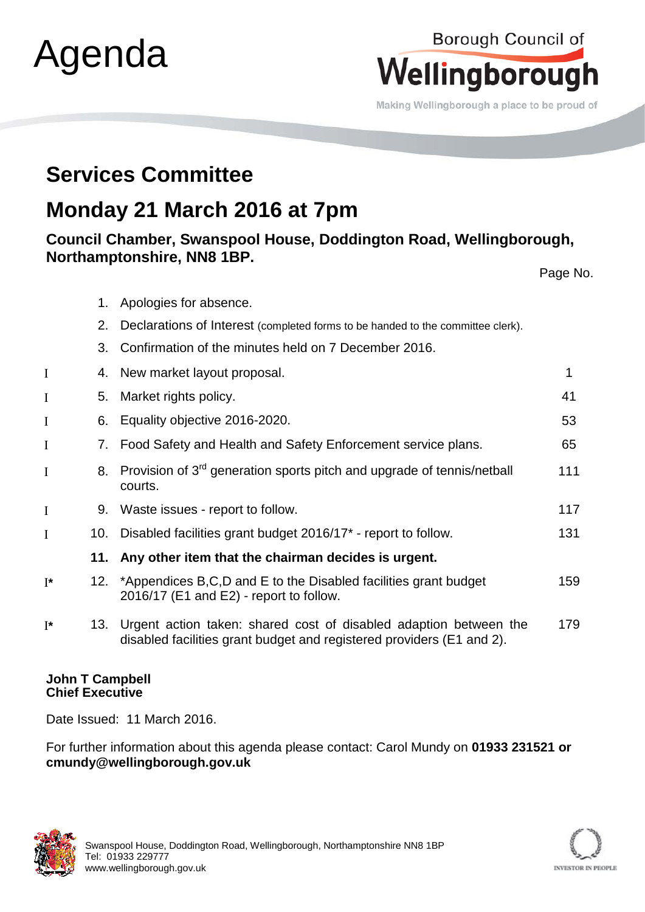| Agenda               |     |                                                                                                                                                | Wellingborough<br>Making Wellingborough a place to be proud of |  |
|----------------------|-----|------------------------------------------------------------------------------------------------------------------------------------------------|----------------------------------------------------------------|--|
|                      |     | <b>Services Committee</b>                                                                                                                      |                                                                |  |
|                      |     | Monday 21 March 2016 at 7pm                                                                                                                    |                                                                |  |
|                      |     | Council Chamber, Swanspool House, Doddington Road, Wellingborough,                                                                             |                                                                |  |
|                      |     | Northamptonshire, NN8 1BP.                                                                                                                     | Page No.                                                       |  |
|                      | 1.  | Apologies for absence.                                                                                                                         |                                                                |  |
|                      | 2.  | Declarations of Interest (completed forms to be handed to the committee clerk).                                                                |                                                                |  |
|                      | 3.  | Confirmation of the minutes held on 7 December 2016.                                                                                           |                                                                |  |
| I                    | 4.  | New market layout proposal.                                                                                                                    | 1                                                              |  |
| I                    | 5.  | Market rights policy.                                                                                                                          | 41                                                             |  |
| I                    | 6.  | Equality objective 2016-2020.                                                                                                                  | 53                                                             |  |
| I                    | 7.  | Food Safety and Health and Safety Enforcement service plans.                                                                                   | 65                                                             |  |
| I                    | 8.  | Provision of 3 <sup>rd</sup> generation sports pitch and upgrade of tennis/netball<br>courts.                                                  | 111                                                            |  |
| I                    | 9.  | Waste issues - report to follow.                                                                                                               | 117                                                            |  |
| $\mathbf{I}$         |     | 10. Disabled facilities grant budget 2016/17 <sup>*</sup> - report to follow.                                                                  | 131                                                            |  |
|                      | 11. | Any other item that the chairman decides is urgent.                                                                                            |                                                                |  |
| $\mathbf{I}^{\star}$ | 12. | *Appendices B,C,D and E to the Disabled facilities grant budget<br>2016/17 (E1 and E2) - report to follow.                                     | 159                                                            |  |
| $I^*$                |     | 13. Urgent action taken: shared cost of disabled adaption between the<br>disabled facilities grant budget and registered providers (E1 and 2). | 179                                                            |  |

## **John T Campbell Chief Executive**

Agenda

Date Issued: 11 March 2016.

For further information about this agenda please contact: Carol Mundy on **01933 231521 or cmundy@wellingborough.gov.uk**





Borough Council of